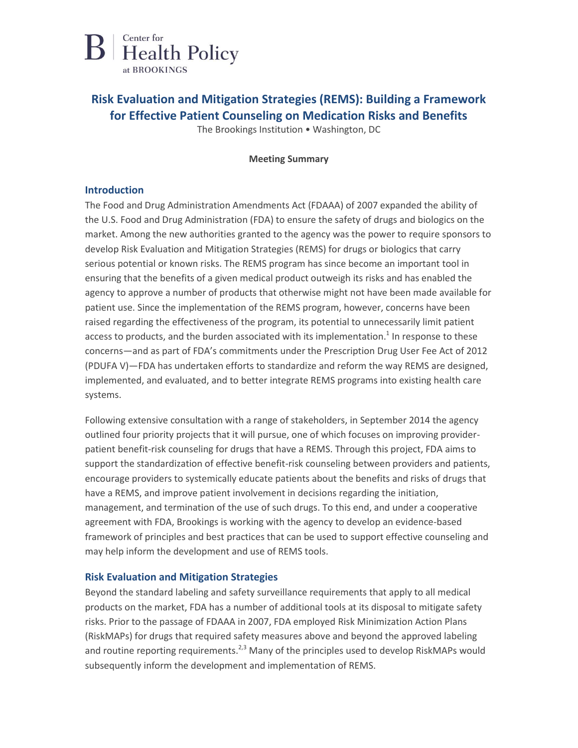

## **Risk Evaluation and Mitigation Strategies (REMS): Building a Framework for Effective Patient Counseling on Medication Risks and Benefits**

The Brookings Institution • Washington, DC

#### **Meeting Summary**

#### **Introduction**

The Food and Drug Administration Amendments Act (FDAAA) of 2007 expanded the ability of the U.S. Food and Drug Administration (FDA) to ensure the safety of drugs and biologics on the market. Among the new authorities granted to the agency was the power to require sponsors to develop Risk Evaluation and Mitigation Strategies (REMS) for drugs or biologics that carry serious potential or known risks. The REMS program has since become an important tool in ensuring that the benefits of a given medical product outweigh its risks and has enabled the agency to approve a number of products that otherwise might not have been made available for patient use. Since the implementation of the REMS program, however, concerns have been raised regarding the effectiveness of the program, its potential to unnecessarily limit patient access to products, and the burden associated with its implementation.<sup>1</sup> In response to these concerns—and as part of FDA's commitments under the Prescription Drug User Fee Act of 2012 (PDUFA V)—FDA has undertaken efforts to standardize and reform the way REMS are designed, implemented, and evaluated, and to better integrate REMS programs into existing health care systems.

Following extensive consultation with a range of stakeholders, in September 2014 the agency outlined four priority projects that it will pursue, one of which focuses on improving providerpatient benefit-risk counseling for drugs that have a REMS. Through this project, FDA aims to support the standardization of effective benefit-risk counseling between providers and patients, encourage providers to systemically educate patients about the benefits and risks of drugs that have a REMS, and improve patient involvement in decisions regarding the initiation, management, and termination of the use of such drugs. To this end, and under a cooperative agreement with FDA, Brookings is working with the agency to develop an evidence-based framework of principles and best practices that can be used to support effective counseling and may help inform the development and use of REMS tools.

## **Risk Evaluation and Mitigation Strategies**

Beyond the standard labeling and safety surveillance requirements that apply to all medical products on the market, FDA has a number of additional tools at its disposal to mitigate safety risks. Prior to the passage of FDAAA in 2007, FDA employed Risk Minimization Action Plans (RiskMAPs) for drugs that required safety measures above and beyond the approved labeling and routine reporting requirements.<sup>2,3</sup> Many of the principles used to develop RiskMAPs would subsequently inform the development and implementation of REMS.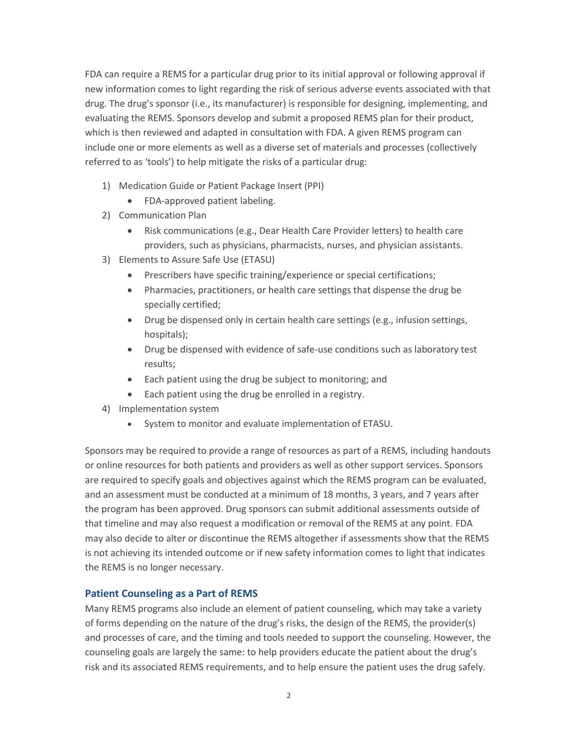FDA can require a REMS for a particular drug prior to its initial approval or following approval if new information comes to light regarding the risk of serious adverse events associated with that drug. The drug's sponsor (i.e., its manufacturer) is responsible for designing, implementing, and evaluating the REMS. Sponsors develop and submit a proposed REMS plan for their product, which is then reviewed and adapted in consultation with FDA. A given REMS program can include one or more elements as well as a diverse set of materials and processes (collectively referred to as 'tools') to help mitigate the risks of a particular drug:

- 1) Medication Guide or Patient Package Insert (PPI)
	- FDA-approved patient labeling.
- 2) Communication Plan
	- Risk communications (e.g., Dear Health Care Provider letters) to health care providers, such as physicians, pharmacists, nurses, and physician assistants.
- 3) Elements to Assure Safe Use (ETASU)
	- Prescribers have specific training/experience or special certifications;
	- Pharmacies, practitioners, or health care settings that dispense the drug be specially certified;
	- Drug be dispensed only in certain health care settings (e.g., infusion settings, hospitals);
	- Drug be dispensed with evidence of safe-use conditions such as laboratory test results;
	- Each patient using the drug be subject to monitoring; and
	- Each patient using the drug be enrolled in a registry.
- 4) Implementation system
	- System to monitor and evaluate implementation of ETASU.

Sponsors may be required to provide a range of resources as part of a REMS, including handouts or online resources for both patients and providers as well as other support services. Sponsors are required to specify goals and objectives against which the REMS program can be evaluated, and an assessment must be conducted at a minimum of 18 months, 3 years, and 7 years after the program has been approved. Drug sponsors can submit additional assessments outside of that timeline and may also request a modification or removal of the REMS at any point. FDA may also decide to alter or discontinue the REMS altogether if assessments show that the REMS is not achieving its intended outcome or if new safety information comes to light that indicates the REMS is no longer necessary.

#### **Patient Counseling as a Part of REMS**

Many REMS programs also include an element of patient counseling, which may take a variety of forms depending on the nature of the drug's risks, the design of the REMS, the provider(s) and processes of care, and the timing and tools needed to support the counseling. However, the counseling goals are largely the same: to help providers educate the patient about the drug's risk and its associated REMS requirements, and to help ensure the patient uses the drug safely.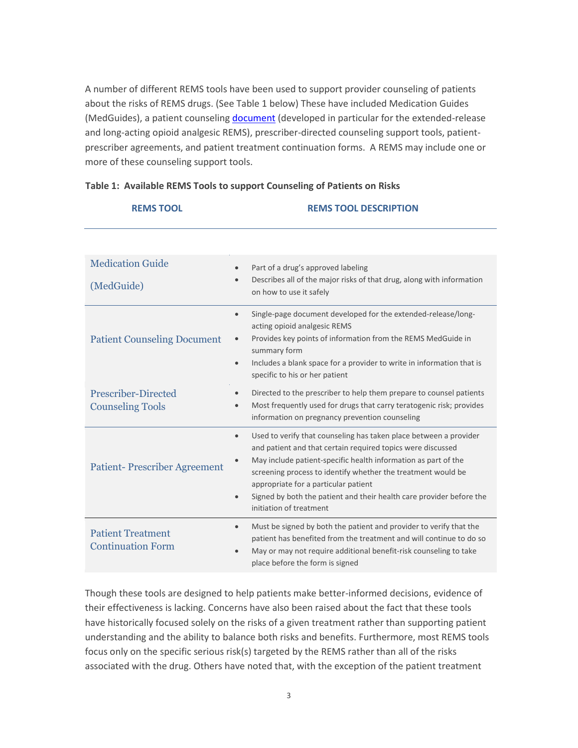A number of different REMS tools have been used to support provider counseling of patients about the risks of REMS drugs. (See Table 1 below) These have included Medication Guides (MedGuides), a patient counseling *document* (developed in particular for the extended-release and long-acting opioid analgesic REMS), prescriber-directed counseling support tools, patientprescriber agreements, and patient treatment continuation forms. A REMS may include one or more of these counseling support tools.

| <b>REMS TOOL</b>                                      | <b>REMS TOOL DESCRIPTION</b>                                                                                                                             |
|-------------------------------------------------------|----------------------------------------------------------------------------------------------------------------------------------------------------------|
|                                                       |                                                                                                                                                          |
| <b>Medication Guide</b>                               | Part of a drug's approved labeling<br>$\bullet$<br>Describes all of the major risks of that drug, along with information<br>on how to use it safely      |
| (MedGuide)                                            |                                                                                                                                                          |
| <b>Patient Counseling Document</b>                    | Single-page document developed for the extended-release/long-<br>$\bullet$<br>acting opioid analgesic REMS                                               |
|                                                       | Provides key points of information from the REMS MedGuide in<br>$\bullet$<br>summary form                                                                |
|                                                       | Includes a blank space for a provider to write in information that is<br>$\bullet$<br>specific to his or her patient                                     |
| <b>Prescriber-Directed</b><br><b>Counseling Tools</b> | Directed to the prescriber to help them prepare to counsel patients<br>Most frequently used for drugs that carry teratogenic risk; provides<br>$\bullet$ |
|                                                       | information on pregnancy prevention counseling                                                                                                           |
| <b>Patient-Prescriber Agreement</b>                   | Used to verify that counseling has taken place between a provider<br>$\bullet$<br>and patient and that certain required topics were discussed            |
|                                                       | May include patient-specific health information as part of the<br>screening process to identify whether the treatment would be                           |
|                                                       | appropriate for a particular patient                                                                                                                     |
|                                                       | Signed by both the patient and their health care provider before the<br>$\bullet$<br>initiation of treatment                                             |
| <b>Patient Treatment</b>                              | Must be signed by both the patient and provider to verify that the<br>$\bullet$<br>patient has benefited from the treatment and will continue to do so   |
| <b>Continuation Form</b>                              | May or may not require additional benefit-risk counseling to take                                                                                        |
|                                                       | place before the form is signed                                                                                                                          |

#### **Table 1: Available REMS Tools to support Counseling of Patients on Risks**

Though these tools are designed to help patients make better-informed decisions, evidence of their effectiveness is lacking. Concerns have also been raised about the fact that these tools have historically focused solely on the risks of a given treatment rather than supporting patient understanding and the ability to balance both risks and benefits. Furthermore, most REMS tools focus only on the specific serious risk(s) targeted by the REMS rather than all of the risks associated with the drug. Others have noted that, with the exception of the patient treatment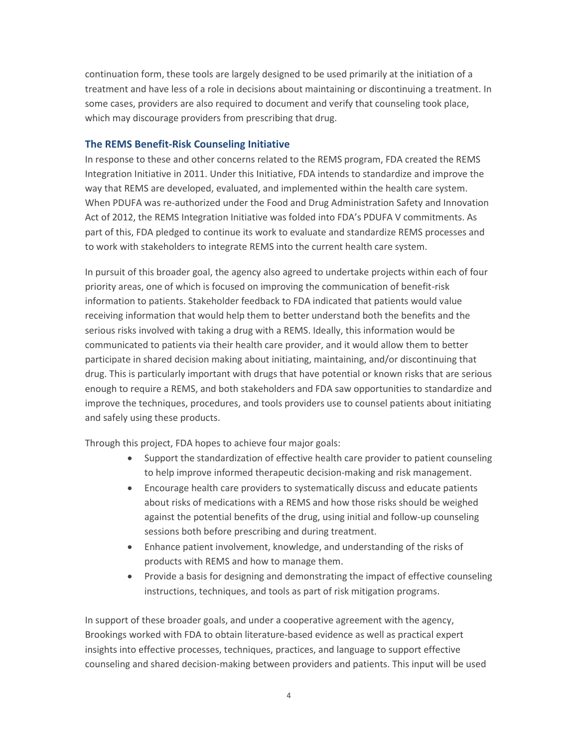continuation form, these tools are largely designed to be used primarily at the initiation of a treatment and have less of a role in decisions about maintaining or discontinuing a treatment. In some cases, providers are also required to document and verify that counseling took place, which may discourage providers from prescribing that drug.

#### **The REMS Benefit-Risk Counseling Initiative**

In response to these and other concerns related to the REMS program, FDA created the REMS Integration Initiative in 2011. Under this Initiative, FDA intends to standardize and improve the way that REMS are developed, evaluated, and implemented within the health care system. When PDUFA was re-authorized under the Food and Drug Administration Safety and Innovation Act of 2012, the REMS Integration Initiative was folded into FDA's PDUFA V commitments. As part of this, FDA pledged to continue its work to evaluate and standardize REMS processes and to work with stakeholders to integrate REMS into the current health care system.

In pursuit of this broader goal, the agency also agreed to undertake projects within each of four priority areas, one of which is focused on improving the communication of benefit-risk information to patients. Stakeholder feedback to FDA indicated that patients would value receiving information that would help them to better understand both the benefits and the serious risks involved with taking a drug with a REMS. Ideally, this information would be communicated to patients via their health care provider, and it would allow them to better participate in shared decision making about initiating, maintaining, and/or discontinuing that drug. This is particularly important with drugs that have potential or known risks that are serious enough to require a REMS, and both stakeholders and FDA saw opportunities to standardize and improve the techniques, procedures, and tools providers use to counsel patients about initiating and safely using these products.

Through this project, FDA hopes to achieve four major goals:

- Support the standardization of effective health care provider to patient counseling to help improve informed therapeutic decision-making and risk management.
- Encourage health care providers to systematically discuss and educate patients about risks of medications with a REMS and how those risks should be weighed against the potential benefits of the drug, using initial and follow-up counseling sessions both before prescribing and during treatment.
- Enhance patient involvement, knowledge, and understanding of the risks of products with REMS and how to manage them.
- Provide a basis for designing and demonstrating the impact of effective counseling instructions, techniques, and tools as part of risk mitigation programs.

In support of these broader goals, and under a cooperative agreement with the agency, Brookings worked with FDA to obtain literature-based evidence as well as practical expert insights into effective processes, techniques, practices, and language to support effective counseling and shared decision-making between providers and patients. This input will be used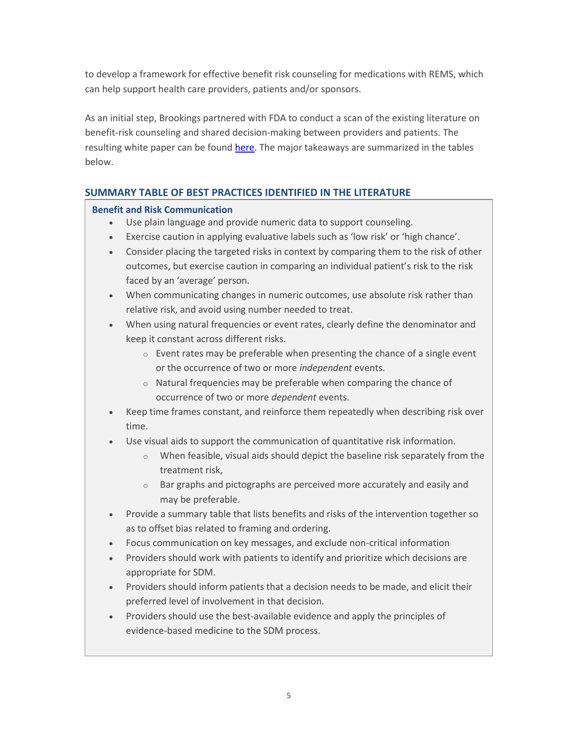to develop a framework for effective benefit risk counseling for medications with REMS, which can help support health care providers, patients and/or sponsors.

As an initial step, Brookings partnered with FDA to conduct a scan of the existing literature on benefit-risk counseling and shared decision-making between providers and patients. The resulting white paper can be found [here.](http://www.brookings.edu/events/2015/07/24-rems-patient-counseling-medication-benefits-risks) The major takeaways are summarized in the tables below.

## **SUMMARY TABLE OF BEST PRACTICES IDENTIFIED IN THE LITERATURE**

## **Benefit and Risk Communication**

- Use plain language and provide numeric data to support counseling.
- Exercise caution in applying evaluative labels such as 'low risk' or 'high chance'.
- Consider placing the targeted risks in context by comparing them to the risk of other outcomes, but exercise caution in comparing an individual patient's risk to the risk faced by an 'average' person.
- When communicating changes in numeric outcomes, use absolute risk rather than relative risk, and avoid using number needed to treat.
- When using natural frequencies or event rates, clearly define the denominator and keep it constant across different risks.
	- $\circ$  Event rates may be preferable when presenting the chance of a single event or the occurrence of two or more *independent* events.
	- o Natural frequencies may be preferable when comparing the chance of occurrence of two or more *dependent* events.
- Keep time frames constant, and reinforce them repeatedly when describing risk over time.
- Use visual aids to support the communication of quantitative risk information.
	- $\circ$  When feasible, visual aids should depict the baseline risk separately from the treatment risk,
	- o Bar graphs and pictographs are perceived more accurately and easily and may be preferable.
- Provide a summary table that lists benefits and risks of the intervention together so as to offset bias related to framing and ordering.
- Focus communication on key messages, and exclude non-critical information
- Providers should work with patients to identify and prioritize which decisions are appropriate for SDM.
- Providers should inform patients that a decision needs to be made, and elicit their preferred level of involvement in that decision.
- Providers should use the best-available evidence and apply the principles of evidence-based medicine to the SDM process.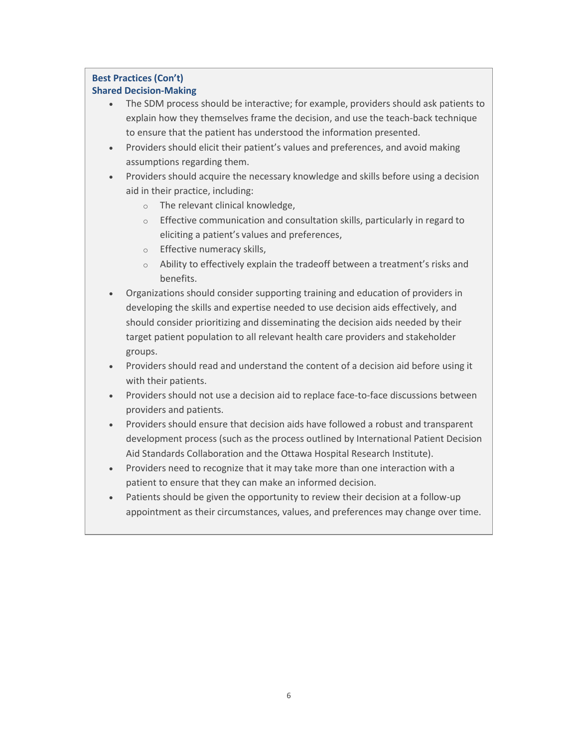# **Best Practices (Con't)**

## **Shared Decision-Making**

- The SDM process should be interactive; for example, providers should ask patients to explain how they themselves frame the decision, and use the teach-back technique to ensure that the patient has understood the information presented.
- Providers should elicit their patient's values and preferences, and avoid making assumptions regarding them.
- Providers should acquire the necessary knowledge and skills before using a decision aid in their practice, including:
	- o The relevant clinical knowledge,
	- o Effective communication and consultation skills, particularly in regard to eliciting a patient's values and preferences,
	- o Effective numeracy skills,
	- o Ability to effectively explain the tradeoff between a treatment's risks and benefits.
- Organizations should consider supporting training and education of providers in developing the skills and expertise needed to use decision aids effectively, and should consider prioritizing and disseminating the decision aids needed by their target patient population to all relevant health care providers and stakeholder groups.
- Providers should read and understand the content of a decision aid before using it with their patients.
- Providers should not use a decision aid to replace face-to-face discussions between providers and patients.
- Providers should ensure that decision aids have followed a robust and transparent development process (such as the process outlined by International Patient Decision Aid Standards Collaboration and the Ottawa Hospital Research Institute).
- Providers need to recognize that it may take more than one interaction with a patient to ensure that they can make an informed decision.
- Patients should be given the opportunity to review their decision at a follow-up appointment as their circumstances, values, and preferences may change over time.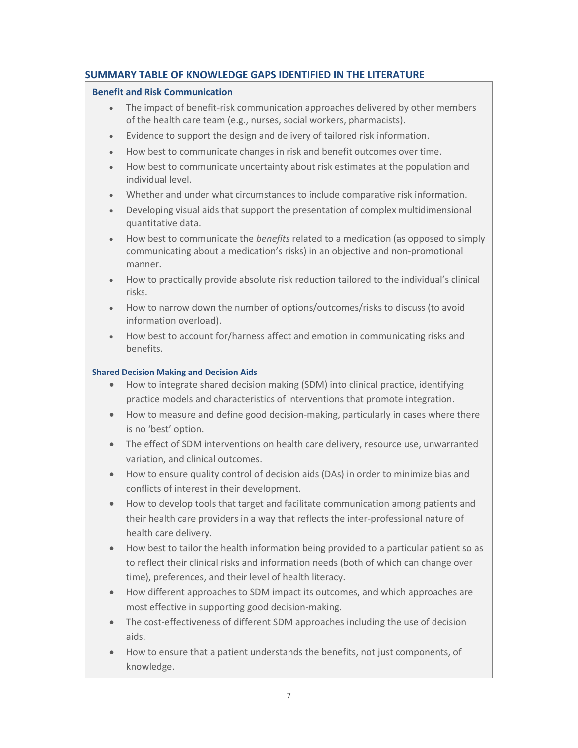## **SUMMARY TABLE OF KNOWLEDGE GAPS IDENTIFIED IN THE LITERATURE**

#### **Benefit and Risk Communication**

- The impact of benefit-risk communication approaches delivered by other members of the health care team (e.g., nurses, social workers, pharmacists).
- Evidence to support the design and delivery of tailored risk information.
- How best to communicate changes in risk and benefit outcomes over time.
- How best to communicate uncertainty about risk estimates at the population and individual level.
- Whether and under what circumstances to include comparative risk information.
- Developing visual aids that support the presentation of complex multidimensional quantitative data.
- How best to communicate the *benefits* related to a medication (as opposed to simply communicating about a medication's risks) in an objective and non-promotional manner.
- How to practically provide absolute risk reduction tailored to the individual's clinical risks.
- How to narrow down the number of options/outcomes/risks to discuss (to avoid information overload).
- How best to account for/harness affect and emotion in communicating risks and benefits.

### **Shared Decision Making and Decision Aids**

- How to integrate shared decision making (SDM) into clinical practice, identifying practice models and characteristics of interventions that promote integration.
- How to measure and define good decision-making, particularly in cases where there is no 'best' option.
- The effect of SDM interventions on health care delivery, resource use, unwarranted variation, and clinical outcomes.
- How to ensure quality control of decision aids (DAs) in order to minimize bias and conflicts of interest in their development.
- How to develop tools that target and facilitate communication among patients and their health care providers in a way that reflects the inter-professional nature of health care delivery.
- How best to tailor the health information being provided to a particular patient so as to reflect their clinical risks and information needs (both of which can change over time), preferences, and their level of health literacy.
- How different approaches to SDM impact its outcomes, and which approaches are most effective in supporting good decision-making.
- The cost-effectiveness of different SDM approaches including the use of decision aids.
- How to ensure that a patient understands the benefits, not just components, of knowledge.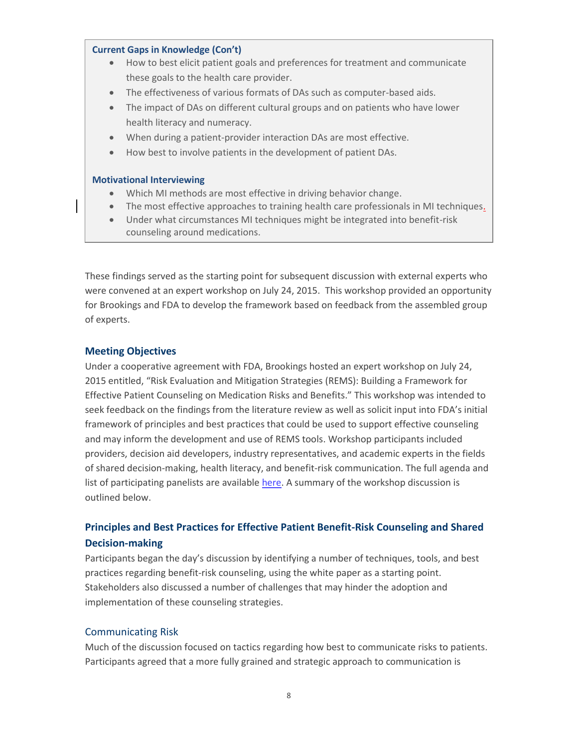#### **Current Gaps in Knowledge (Con't)**

- How to best elicit patient goals and preferences for treatment and communicate these goals to the health care provider.
- The effectiveness of various formats of DAs such as computer-based aids.
- The impact of DAs on different cultural groups and on patients who have lower health literacy and numeracy.
- When during a patient-provider interaction DAs are most effective.
- How best to involve patients in the development of patient DAs.

#### **Motivational Interviewing**

- Which MI methods are most effective in driving behavior change.
- The most effective approaches to training health care professionals in MI techniques.
- Under what circumstances MI techniques might be integrated into benefit-risk counseling around medications.

These findings served as the starting point for subsequent discussion with external experts who were convened at an expert workshop on July 24, 2015. This workshop provided an opportunity for Brookings and FDA to develop the framework based on feedback from the assembled group of experts.

#### **Meeting Objectives**

Under a cooperative agreement with FDA, Brookings hosted an expert workshop on July 24, 2015 entitled, "Risk Evaluation and Mitigation Strategies (REMS): Building a Framework for Effective Patient Counseling on Medication Risks and Benefits." This workshop was intended to seek feedback on the findings from the literature review as well as solicit input into FDA's initial framework of principles and best practices that could be used to support effective counseling and may inform the development and use of REMS tools. Workshop participants included providers, decision aid developers, industry representatives, and academic experts in the fields of shared decision-making, health literacy, and benefit-risk communication. The full agenda and list of participating panelists are availabl[e here.](http://www.brookings.edu/events/2015/07/24-rems-patient-counseling-medication-benefits-risks) A summary of the workshop discussion is outlined below.

## **Principles and Best Practices for Effective Patient Benefit-Risk Counseling and Shared Decision-making**

Participants began the day's discussion by identifying a number of techniques, tools, and best practices regarding benefit-risk counseling, using the white paper as a starting point. Stakeholders also discussed a number of challenges that may hinder the adoption and implementation of these counseling strategies.

#### Communicating Risk

Much of the discussion focused on tactics regarding how best to communicate risks to patients. Participants agreed that a more fully grained and strategic approach to communication is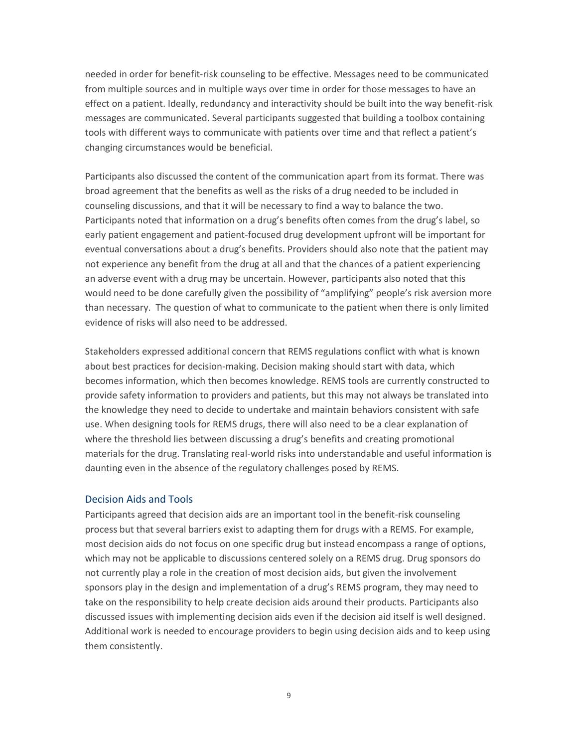needed in order for benefit-risk counseling to be effective. Messages need to be communicated from multiple sources and in multiple ways over time in order for those messages to have an effect on a patient. Ideally, redundancy and interactivity should be built into the way benefit-risk messages are communicated. Several participants suggested that building a toolbox containing tools with different ways to communicate with patients over time and that reflect a patient's changing circumstances would be beneficial.

Participants also discussed the content of the communication apart from its format. There was broad agreement that the benefits as well as the risks of a drug needed to be included in counseling discussions, and that it will be necessary to find a way to balance the two. Participants noted that information on a drug's benefits often comes from the drug's label, so early patient engagement and patient-focused drug development upfront will be important for eventual conversations about a drug's benefits. Providers should also note that the patient may not experience any benefit from the drug at all and that the chances of a patient experiencing an adverse event with a drug may be uncertain. However, participants also noted that this would need to be done carefully given the possibility of "amplifying" people's risk aversion more than necessary. The question of what to communicate to the patient when there is only limited evidence of risks will also need to be addressed.

Stakeholders expressed additional concern that REMS regulations conflict with what is known about best practices for decision-making. Decision making should start with data, which becomes information, which then becomes knowledge. REMS tools are currently constructed to provide safety information to providers and patients, but this may not always be translated into the knowledge they need to decide to undertake and maintain behaviors consistent with safe use. When designing tools for REMS drugs, there will also need to be a clear explanation of where the threshold lies between discussing a drug's benefits and creating promotional materials for the drug. Translating real-world risks into understandable and useful information is daunting even in the absence of the regulatory challenges posed by REMS.

#### Decision Aids and Tools

Participants agreed that decision aids are an important tool in the benefit-risk counseling process but that several barriers exist to adapting them for drugs with a REMS. For example, most decision aids do not focus on one specific drug but instead encompass a range of options, which may not be applicable to discussions centered solely on a REMS drug. Drug sponsors do not currently play a role in the creation of most decision aids, but given the involvement sponsors play in the design and implementation of a drug's REMS program, they may need to take on the responsibility to help create decision aids around their products. Participants also discussed issues with implementing decision aids even if the decision aid itself is well designed. Additional work is needed to encourage providers to begin using decision aids and to keep using them consistently.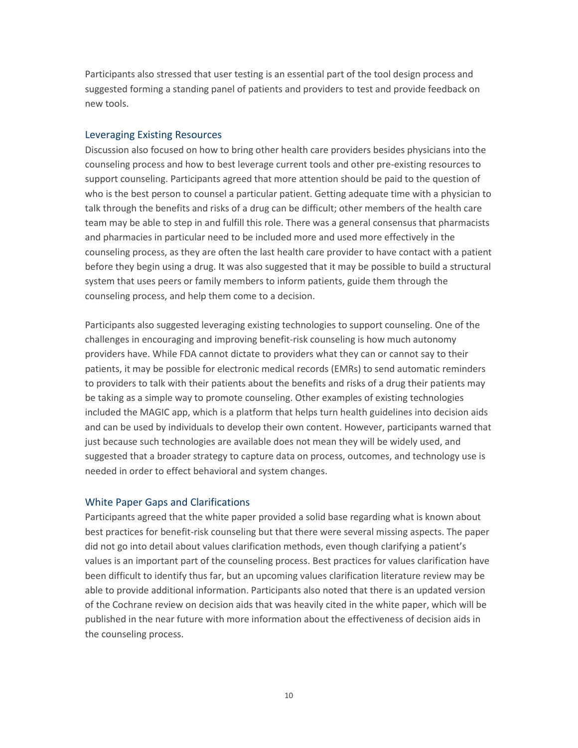Participants also stressed that user testing is an essential part of the tool design process and suggested forming a standing panel of patients and providers to test and provide feedback on new tools.

#### Leveraging Existing Resources

Discussion also focused on how to bring other health care providers besides physicians into the counseling process and how to best leverage current tools and other pre-existing resources to support counseling. Participants agreed that more attention should be paid to the question of who is the best person to counsel a particular patient. Getting adequate time with a physician to talk through the benefits and risks of a drug can be difficult; other members of the health care team may be able to step in and fulfill this role. There was a general consensus that pharmacists and pharmacies in particular need to be included more and used more effectively in the counseling process, as they are often the last health care provider to have contact with a patient before they begin using a drug. It was also suggested that it may be possible to build a structural system that uses peers or family members to inform patients, guide them through the counseling process, and help them come to a decision.

Participants also suggested leveraging existing technologies to support counseling. One of the challenges in encouraging and improving benefit-risk counseling is how much autonomy providers have. While FDA cannot dictate to providers what they can or cannot say to their patients, it may be possible for electronic medical records (EMRs) to send automatic reminders to providers to talk with their patients about the benefits and risks of a drug their patients may be taking as a simple way to promote counseling. Other examples of existing technologies included the MAGIC app, which is a platform that helps turn health guidelines into decision aids and can be used by individuals to develop their own content. However, participants warned that just because such technologies are available does not mean they will be widely used, and suggested that a broader strategy to capture data on process, outcomes, and technology use is needed in order to effect behavioral and system changes.

#### White Paper Gaps and Clarifications

Participants agreed that the white paper provided a solid base regarding what is known about best practices for benefit-risk counseling but that there were several missing aspects. The paper did not go into detail about values clarification methods, even though clarifying a patient's values is an important part of the counseling process. Best practices for values clarification have been difficult to identify thus far, but an upcoming values clarification literature review may be able to provide additional information. Participants also noted that there is an updated version of the Cochrane review on decision aids that was heavily cited in the white paper, which will be published in the near future with more information about the effectiveness of decision aids in the counseling process.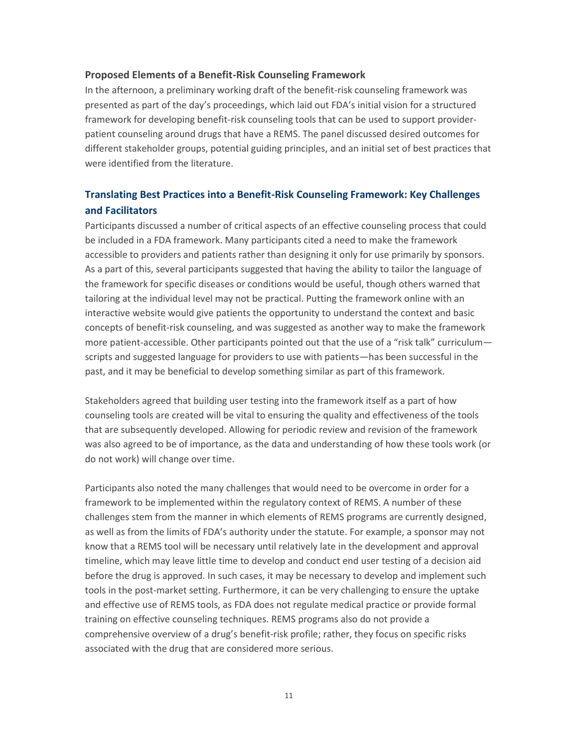#### **Proposed Elements of a Benefit-Risk Counseling Framework**

In the afternoon, a preliminary working draft of the benefit-risk counseling framework was presented as part of the day's proceedings, which laid out FDA's initial vision for a structured framework for developing benefit-risk counseling tools that can be used to support providerpatient counseling around drugs that have a REMS. The panel discussed desired outcomes for different stakeholder groups, potential guiding principles, and an initial set of best practices that were identified from the literature.

## **Translating Best Practices into a Benefit-Risk Counseling Framework: Key Challenges and Facilitators**

Participants discussed a number of critical aspects of an effective counseling process that could be included in a FDA framework. Many participants cited a need to make the framework accessible to providers and patients rather than designing it only for use primarily by sponsors. As a part of this, several participants suggested that having the ability to tailor the language of the framework for specific diseases or conditions would be useful, though others warned that tailoring at the individual level may not be practical. Putting the framework online with an interactive website would give patients the opportunity to understand the context and basic concepts of benefit-risk counseling, and was suggested as another way to make the framework more patient-accessible. Other participants pointed out that the use of a "risk talk" curriculum scripts and suggested language for providers to use with patients—has been successful in the past, and it may be beneficial to develop something similar as part of this framework.

Stakeholders agreed that building user testing into the framework itself as a part of how counseling tools are created will be vital to ensuring the quality and effectiveness of the tools that are subsequently developed. Allowing for periodic review and revision of the framework was also agreed to be of importance, as the data and understanding of how these tools work (or do not work) will change over time.

Participants also noted the many challenges that would need to be overcome in order for a framework to be implemented within the regulatory context of REMS. A number of these challenges stem from the manner in which elements of REMS programs are currently designed, as well as from the limits of FDA's authority under the statute. For example, a sponsor may not know that a REMS tool will be necessary until relatively late in the development and approval timeline, which may leave little time to develop and conduct end user testing of a decision aid before the drug is approved. In such cases, it may be necessary to develop and implement such tools in the post-market setting. Furthermore, it can be very challenging to ensure the uptake and effective use of REMS tools, as FDA does not regulate medical practice or provide formal training on effective counseling techniques. REMS programs also do not provide a comprehensive overview of a drug's benefit-risk profile; rather, they focus on specific risks associated with the drug that are considered more serious.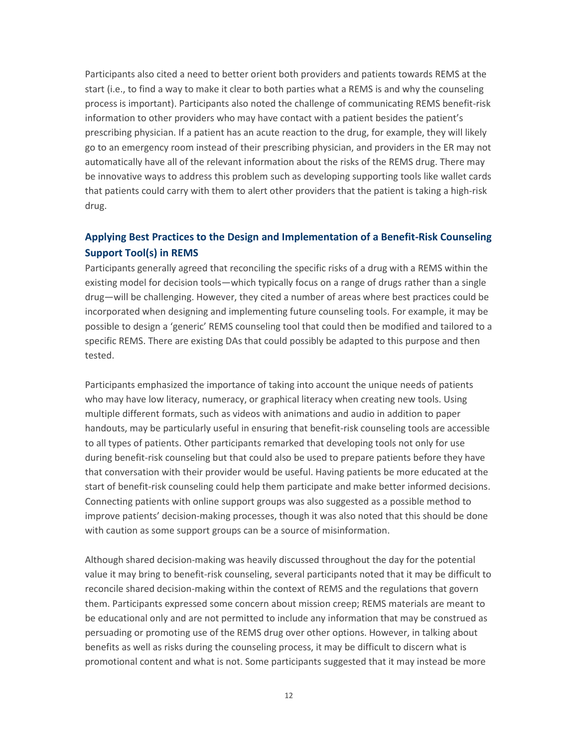Participants also cited a need to better orient both providers and patients towards REMS at the start (i.e., to find a way to make it clear to both parties what a REMS is and why the counseling process is important). Participants also noted the challenge of communicating REMS benefit-risk information to other providers who may have contact with a patient besides the patient's prescribing physician. If a patient has an acute reaction to the drug, for example, they will likely go to an emergency room instead of their prescribing physician, and providers in the ER may not automatically have all of the relevant information about the risks of the REMS drug. There may be innovative ways to address this problem such as developing supporting tools like wallet cards that patients could carry with them to alert other providers that the patient is taking a high-risk drug.

## **Applying Best Practices to the Design and Implementation of a Benefit-Risk Counseling Support Tool(s) in REMS**

Participants generally agreed that reconciling the specific risks of a drug with a REMS within the existing model for decision tools—which typically focus on a range of drugs rather than a single drug—will be challenging. However, they cited a number of areas where best practices could be incorporated when designing and implementing future counseling tools. For example, it may be possible to design a 'generic' REMS counseling tool that could then be modified and tailored to a specific REMS. There are existing DAs that could possibly be adapted to this purpose and then tested.

Participants emphasized the importance of taking into account the unique needs of patients who may have low literacy, numeracy, or graphical literacy when creating new tools. Using multiple different formats, such as videos with animations and audio in addition to paper handouts, may be particularly useful in ensuring that benefit-risk counseling tools are accessible to all types of patients. Other participants remarked that developing tools not only for use during benefit-risk counseling but that could also be used to prepare patients before they have that conversation with their provider would be useful. Having patients be more educated at the start of benefit-risk counseling could help them participate and make better informed decisions. Connecting patients with online support groups was also suggested as a possible method to improve patients' decision-making processes, though it was also noted that this should be done with caution as some support groups can be a source of misinformation.

Although shared decision-making was heavily discussed throughout the day for the potential value it may bring to benefit-risk counseling, several participants noted that it may be difficult to reconcile shared decision-making within the context of REMS and the regulations that govern them. Participants expressed some concern about mission creep; REMS materials are meant to be educational only and are not permitted to include any information that may be construed as persuading or promoting use of the REMS drug over other options. However, in talking about benefits as well as risks during the counseling process, it may be difficult to discern what is promotional content and what is not. Some participants suggested that it may instead be more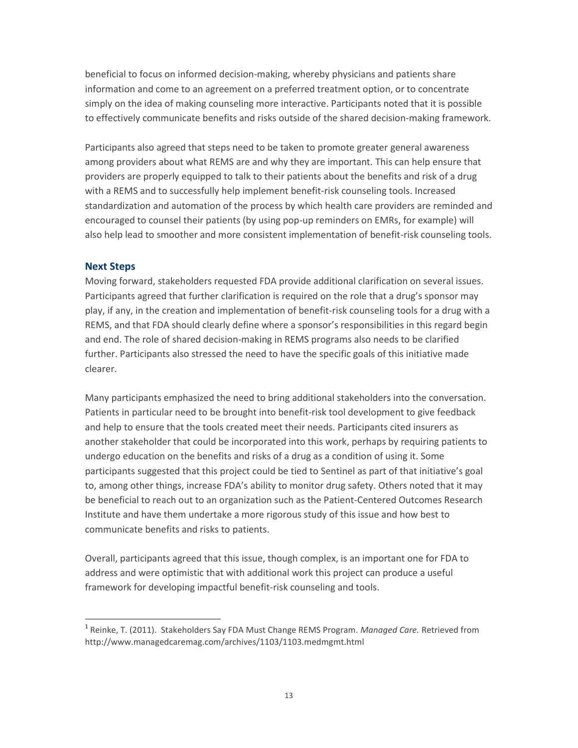beneficial to focus on informed decision-making, whereby physicians and patients share information and come to an agreement on a preferred treatment option, or to concentrate simply on the idea of making counseling more interactive. Participants noted that it is possible to effectively communicate benefits and risks outside of the shared decision-making framework.

Participants also agreed that steps need to be taken to promote greater general awareness among providers about what REMS are and why they are important. This can help ensure that providers are properly equipped to talk to their patients about the benefits and risk of a drug with a REMS and to successfully help implement benefit-risk counseling tools. Increased standardization and automation of the process by which health care providers are reminded and encouraged to counsel their patients (by using pop-up reminders on EMRs, for example) will also help lead to smoother and more consistent implementation of benefit-risk counseling tools.

#### **Next Steps**

l

Moving forward, stakeholders requested FDA provide additional clarification on several issues. Participants agreed that further clarification is required on the role that a drug's sponsor may play, if any, in the creation and implementation of benefit-risk counseling tools for a drug with a REMS, and that FDA should clearly define where a sponsor's responsibilities in this regard begin and end. The role of shared decision-making in REMS programs also needs to be clarified further. Participants also stressed the need to have the specific goals of this initiative made clearer.

Many participants emphasized the need to bring additional stakeholders into the conversation. Patients in particular need to be brought into benefit-risk tool development to give feedback and help to ensure that the tools created meet their needs. Participants cited insurers as another stakeholder that could be incorporated into this work, perhaps by requiring patients to undergo education on the benefits and risks of a drug as a condition of using it. Some participants suggested that this project could be tied to Sentinel as part of that initiative's goal to, among other things, increase FDA's ability to monitor drug safety. Others noted that it may be beneficial to reach out to an organization such as the Patient-Centered Outcomes Research Institute and have them undertake a more rigorous study of this issue and how best to communicate benefits and risks to patients.

Overall, participants agreed that this issue, though complex, is an important one for FDA to address and were optimistic that with additional work this project can produce a useful framework for developing impactful benefit-risk counseling and tools.

<sup>1</sup> Reinke, T. (2011). Stakeholders Say FDA Must Change REMS Program. *Managed Care.* Retrieved from http://www.managedcaremag.com/archives/1103/1103.medmgmt.html